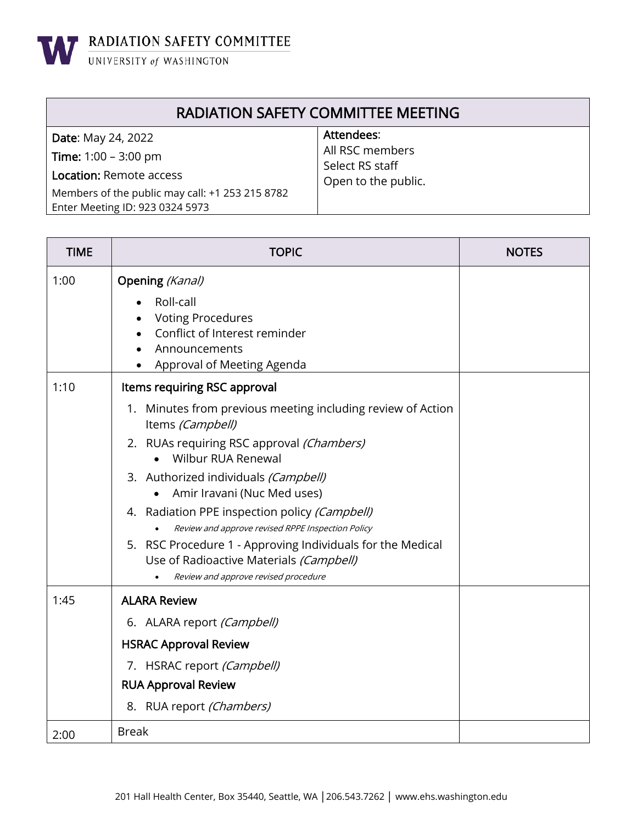**WE RADIATION SAFETY COMMITTEE** 

## RADIATION SAFETY COMMITTEE MEETING

| <b>Date: May 24, 2022</b>                       | Attendees:          |
|-------------------------------------------------|---------------------|
| <b>Time:</b> $1:00 - 3:00 \text{ pm}$           | All RSC members     |
| <b>Location: Remote access</b>                  | Select RS staff     |
|                                                 | Open to the public. |
| Members of the public may call: +1 253 215 8782 |                     |
| Enter Meeting ID: 923 0324 5973                 |                     |

| <b>TIME</b> | <b>TOPIC</b>                                                                                             | <b>NOTES</b> |
|-------------|----------------------------------------------------------------------------------------------------------|--------------|
| 1:00        | Opening (Kanal)<br>Roll-call<br><b>Voting Procedures</b><br>Conflict of Interest reminder                |              |
|             | Announcements<br>Approval of Meeting Agenda                                                              |              |
| 1:10        | Items requiring RSC approval                                                                             |              |
|             | 1. Minutes from previous meeting including review of Action<br>Items (Campbell)                          |              |
|             | 2. RUAs requiring RSC approval (Chambers)<br>• Wilbur RUA Renewal                                        |              |
|             | 3. Authorized individuals (Campbell)<br>Amir Iravani (Nuc Med uses)                                      |              |
|             | 4. Radiation PPE inspection policy (Campbell)<br>Review and approve revised RPPE Inspection Policy       |              |
|             | RSC Procedure 1 - Approving Individuals for the Medical<br>5.<br>Use of Radioactive Materials (Campbell) |              |
|             | Review and approve revised procedure                                                                     |              |
| 1:45        | <b>ALARA Review</b>                                                                                      |              |
|             | 6. ALARA report (Campbell)                                                                               |              |
|             | <b>HSRAC Approval Review</b>                                                                             |              |
|             | 7. HSRAC report (Campbell)                                                                               |              |
|             | <b>RUA Approval Review</b>                                                                               |              |
|             | 8. RUA report (Chambers)                                                                                 |              |
| 2:00        | <b>Break</b>                                                                                             |              |